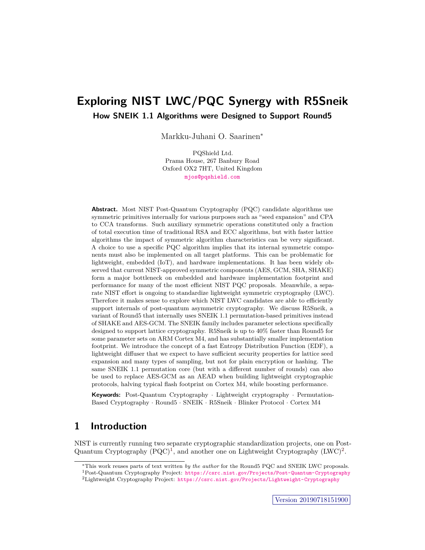# **Exploring NIST LWC/PQC Synergy with R5Sneik**

**How SNEIK 1.1 Algorithms were Designed to Support Round5**

Markku-Juhani O. Saarinen

PQShield Ltd. Prama House, 267 Banbury Road Oxford OX2 7HT, United Kingdom [mjos@pqshield.com](mailto:mjos@pqshield.com)

**Abstract.** Most NIST Post-Quantum Cryptography (PQC) candidate algorithms use symmetric primitives internally for various purposes such as "seed expansion" and CPA to CCA transforms. Such auxiliary symmetric operations constituted only a fraction of total execution time of traditional RSA and ECC algorithms, but with faster lattice algorithms the impact of symmetric algorithm characteristics can be very significant. A choice to use a specific PQC algorithm implies that its internal symmetric components must also be implemented on all target platforms. This can be problematic for lightweight, embedded (IoT), and hardware implementations. It has been widely observed that current NIST-approved symmetric components (AES, GCM, SHA, SHAKE) form a major bottleneck on embedded and hardware implementation footprint and performance for many of the most efficient NIST PQC proposals. Meanwhile, a separate NIST effort is ongoing to standardize lightweight symmetric cryptography (LWC). Therefore it makes sense to explore which NIST LWC candidates are able to efficiently support internals of post-quantum asymmetric cryptography. We discuss R5Sneik, a variant of Round5 that internally uses SNEIK 1.1 permutation-based primitives instead of SHAKE and AES-GCM. The SNEIK family includes parameter selections specifically designed to support lattice cryptography. R5Sneik is up to 40% faster than Round5 for some parameter sets on ARM Cortex M4, and has substantially smaller implementation footprint. We introduce the concept of a fast Entropy Distribution Function (EDF), a lightweight diffuser that we expect to have sufficient security properties for lattice seed expansion and many types of sampling, but not for plain encryption or hashing. The same SNEIK 1.1 permutation core (but with a different number of rounds) can also be used to replace AES-GCM as an AEAD when building lightweight cryptographic protocols, halving typical flash footprint on Cortex M4, while boosting performance.

**Keywords:** Post-Quantum Cryptography *·* Lightweight cryptography *·* Permutation-Based Cryptography *·* Round5 *·* SNEIK *·* R5Sneik *·* Blinker Protocol *·* Cortex M4

#### **Introduction 1**

NIST is currently running two separate cryptographic standardization projects, one on Post-Quantum Cryptography  $(PQC)^1$  $(PQC)^1$ , and another one on Lightweight Cryptography (LWC)<sup>[2](#page-0-1)</sup>.

This work reuses parts of text written *by the author* for the Round5 PQC and SNEIK LWC proposals.

<span id="page-0-0"></span>

<span id="page-0-1"></span> $^2$ Lightweight Cryptography Project: <https://csrc.nist.gov/Projects/Lightweight-Cryptography>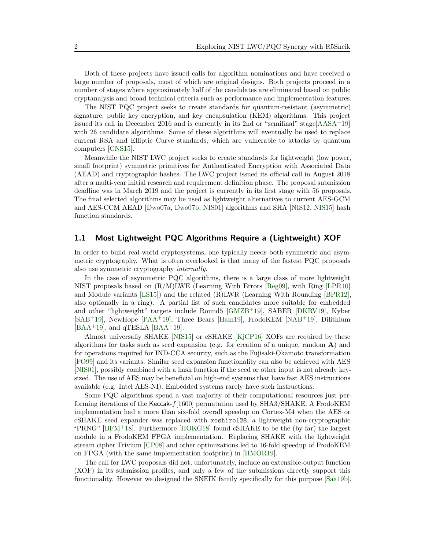Both of these projects have issued calls for algorithm nominations and have received a large number of proposals, most of which are original designs. Both projects proceed in a number of stages where approximately half of the candidates are eliminated based on public cryptanalysis and broad technical criteria such as performance and implementation features.

The NIST PQC project seeks to create standards for quantum-resistant (asymmetric) signature, public key encryption, and key encapsulation (KEM) algorithms. This project issued its call in December 2016 and is currently in its 2nd or "semifinal" stage[[AASA](#page-9-0)+19] with 26 candidate algorithms. Some of these algorithms will eventually be used to replace current RSA and Elliptic Curve standards, which are vulnerable to attacks by quantum computers [\[CNS15](#page-10-0)].

Meanwhile the NIST LWC project seeks to create standards for lightweight (low power, small footprint) symmetric primitives for Authenticated Encryption with Associated Data (AEAD) and cryptographic hashes. The LWC project issued its official call in August 2018 after a multi-year initial research and requirement definition phase. The proposal submission deadline was in March 2019 and the project is currently in its first stage with 56 proposals. The final selected algorithms may be used as lightweight alternatives to current AES-GCM and AES-CCM AEAD [\[Dwo07a,](#page-10-1) [Dwo07b,](#page-10-2) [NIS01](#page-12-0)] algorithms and SHA [[NIS12,](#page-12-1) [NIS15\]](#page-12-2) hash function standards.

### **1.1 Most Lightweight PQC Algorithms Require a (Lightweight) XOF**

In order to build real-world cryptosystems, one typically needs both symmetric and asymmetric cryptography. What is often overlooked is that many of the fastest PQC proposals also use symmetric cryptography *internally*.

In the case of asymmetric PQC algorithms, there is a large class of more lightweight NIST proposals based on (R/M)LWE (Learning With Errors [[Reg09](#page-13-0)], with Ring [[LPR10](#page-12-3)] and Module variants [\[LS15\]](#page-12-4)) and the related (R)LWR (Learning With Rounding [[BPR12\]](#page-9-1), also optionally in a ring). A partial list of such candidates more suitable for embedded and other "lightweight" targets include Round5 [\[GMZB](#page-10-3)+19], SABER [\[DKRV19](#page-10-4)], Kyber [[SAB](#page-13-1)+19], NewHope [\[PAA](#page-12-5)+19], Three Bears [\[Ham19\]](#page-11-0), FrodoKEM [[NAB](#page-12-6)+19], Dilithium  $[BAA<sup>+</sup>19]$  $[BAA<sup>+</sup>19]$  $[BAA<sup>+</sup>19]$ , and qTESLA  $[BAA<sup>+</sup>19]$  $[BAA<sup>+</sup>19]$ .

Almost universally SHAKE [[NIS15](#page-12-2)] or cSHAKE [[KjCP16](#page-11-1)] XOFs are required by these algorithms for tasks such as seed expansion (e.g. for creation of a unique, random **A**) and for operations required for IND-CCA security, such as the Fujisaki-Okamoto transformation [[FO99\]](#page-10-5) and its variants. Similar seed expansion functionality can also be achieved with AES [[NIS01](#page-12-0)], possibly combined with a hash function if the seed or other input is not already keysized. The use of AES may be beneficial on high-end systems that have fast AES instructions available (e.g. Intel AES-NI). Embedded systems rarely have such instructions.

Some PQC algorithms spend a vast majority of their computational resources just performing iterations of the Keccak-*f*[1600] permutation used by SHA3/SHAKE. A FrodoKEM implementation had a more than six-fold overall speedup on Cortex-M4 when the AES or cSHAKE seed expander was replaced with xoshiro128, a lightweight non-cryptographic "PRNG" [[BFM](#page-9-3)<sup>+</sup>18]. Furthermore [[HOKG18](#page-11-2)] found cSHAKE to be the (by far) the largest module in a FrodoKEM FPGA implementation. Replacing SHAKE with the lightweight stream cipher Trivium [[CP08\]](#page-10-6) and other optimizations led to 16-fold speedup of FrodoKEM on FPGA (with the same implementation footprint) in [[HMOR19](#page-11-3)].

The call for LWC proposals did not, unfortunately, include an extensible-output function (XOF) in its submission profiles, and only a few of the submissions directly support this functionality. However we designed the SNEIK family specifically for this purpose [\[Saa19b](#page-13-2)].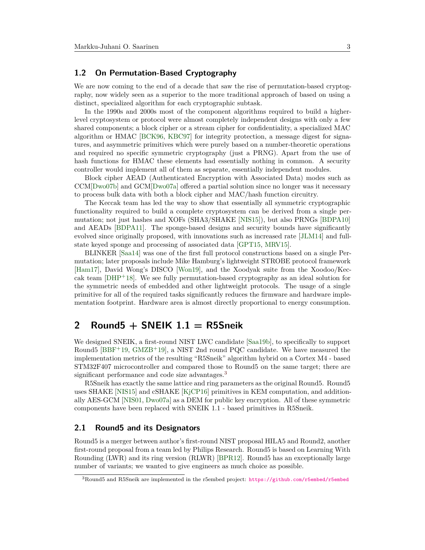### **1.2 On Permutation-Based Cryptography**

We are now coming to the end of a decade that saw the rise of permutation-based cryptography, now widely seen as a superior to the more traditional approach of based on using a distinct, specialized algorithm for each cryptographic subtask.

In the 1990s and 2000s most of the component algorithms required to build a higherlevel cryptosystem or protocol were almost completely independent designs with only a few shared components; a block cipher or a stream cipher for confidentiality, a specialized MAC algorithm or HMAC [\[BCK96](#page-9-4), [KBC97\]](#page-11-4) for integrity protection, a message digest for signatures, and asymmetric primitives which were purely based on a number-theoretic operations and required no specific symmetric cryptography (just a PRNG). Apart from the use of hash functions for HMAC these elements had essentially nothing in common. A security controller would implement all of them as separate, essentially independent modules.

Block cipher AEAD (Authenticated Encryption with Associated Data) modes such as CCM[\[Dwo07b](#page-10-2)] and GCM[[Dwo07a](#page-10-1)] offered a partial solution since no longer was it necessary to process bulk data with both a block cipher and MAC/hash function circuitry.

The Keccak team has led the way to show that essentially all symmetric cryptographic functionality required to build a complete cryptosystem can be derived from a single permutation; not just hashes and XOFs (SHA3/SHAKE [\[NIS15\]](#page-12-2)), but also PRNGs [\[BDPA10](#page-9-5)] and AEADs [\[BDPA11](#page-9-6)]. The sponge-based designs and security bounds have significantly evolved since originally proposed, with innovations such as increased rate [\[JLM14\]](#page-11-5) and fullstate keyed sponge and processing of associated data [[GPT15,](#page-10-7) [MRV15](#page-12-7)].

BLINKER [\[Saa14\]](#page-13-3) was one of the first full protocol constructions based on a single Permutation; later proposals include Mike Hamburg's lightweight STROBE protocol framework [[Ham17\]](#page-11-6), David Wong's DISCO [[Won19\]](#page-13-4), and the Xoodyak suite from the Xoodoo/Keccak team  $[DHP+18]$  $[DHP+18]$ . We see fully permutation-based cryptography as an ideal solution for the symmetric needs of embedded and other lightweight protocols. The usage of a single primitive for all of the required tasks significantly reduces the firmware and hardware implementation footprint. Hardware area is almost directly proportional to energy consumption.

# **2 Round5 + SNEIK 1.1 = R5Sneik**

We designed SNEIK, a first-round NIST LWC candidate [[Saa19b\]](#page-13-2), to specifically to support Round5  $[BBF^+19, GMZB^+19]$  $[BBF^+19, GMZB^+19]$  $[BBF^+19, GMZB^+19]$  $[BBF^+19, GMZB^+19]$ , a NIST 2nd round PQC candidate. We have measured the implementation metrics of the resulting "R5Sneik" algorithm hybrid on a Cortex M4 - based STM32F407 microcontroller and compared those to Round5 on the same target; there are significant performance and code size advantages.<sup>[3](#page-2-0)</sup>

R5Sneik has exactly the same lattice and ring parameters as the original Round5. Round5 uses SHAKE [\[NIS15\]](#page-12-2) and cSHAKE [\[KjCP16\]](#page-11-1) primitives in KEM computation, and additionally AES-GCM [[NIS01,](#page-12-0) [Dwo07a](#page-10-1)] as a DEM for public key encryption. All of these symmetric components have been replaced with SNEIK 1.1 - based primitives in R5Sneik.

#### **2.1 Round5 and its Designators**

Round5 is a merger between author's first-round NIST proposal HILA5 and Round2, another first-round proposal from a team led by Philips Research. Round5 is based on Learning With Rounding (LWR) and its ring version (RLWR) [\[BPR12](#page-9-1)]. Round5 has an exceptionally large number of variants; we wanted to give engineers as much choice as possible.

<span id="page-2-0"></span><sup>3</sup>Round5 and R5Sneik are implemented in the r5embed project: <https://github.com/r5embed/r5embed>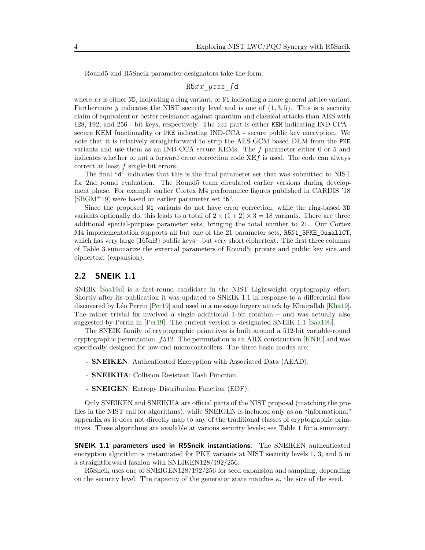Round5 and R5Sneik parameter designators take the form:

R5*xx*\_*yzzz*\_*f*d

where *xx* is either ND, indicating a ring variant, or N1 indicating a more general lattice variant. Furthermore *y* indicates the NIST security level and is one of  $\{1,3,5\}$ . This is a security claim of equivalent or better resistance against quantum and classical attacks than AES with 128, 192, and 256 - bit keys, respectively. The *zzz* part is either KEM indicating IND-CPA secure KEM functionality or PKE indicating IND-CCA - secure public key encryption. We note that it is relatively straightforward to strip the AES-GCM based DEM from the PKE variants and use them as an IND-CCA secure KEMs. The *f* parameter either 0 or 5 and indicates whether or not a forward error correction code XE*f* is used. The code can always correct at least *f* single-bit errors.

The final "d" indicates that this is the final parameter set that was submitted to NIST for 2nd round evaluation. The Round5 team circulated earlier versions during development phase. For example earlier Cortex M4 performance figures published in CARDIS '18 [[SBGM](#page-13-5)+19] were based on earlier parameter set "b".

Since the proposed N1 variants do not have error correction, while the ring-based ND variants optionally do, this leads to a total of  $2 \times (1+2) \times 3 = 18$  variants. There are three additional special-purpose parameter sets, bringing the total number to 21. Our Cortex M4 implelementation supports all but one of the 21 parameter sets, R5N1\_3PKE\_0smallCT, which has very large (165kB) public keys – but very short ciphertext. The first three columns of Table [3](#page-8-0) summarize the external parameters of Round5; private and public key size and ciphertext (expansion).

#### **2.2 SNEIK 1.1**

SNEIK [[Saa19a](#page-13-6)] is a first-round candidate in the NIST Lightweight cryptography effort. Shortly after its publication it was updated to SNEIK 1.1 in response to a differential flaw discovered by Léo Perrin [\[Per19](#page-13-7)] and used in a message forgery attack by Khairallah [\[Kha19](#page-11-7)]. The rather trivial fix involved a single additional 1-bit rotation – and was actually also suggested by Perrin in [[Per19](#page-13-7)]. The current version is designated SNEIK 1.1 [[Saa19b\]](#page-13-2).

The SNEIK family of cryptographic primitives is built around a 512-bit variable-round cryptographic permutation, *f*512. The permutation is an ARX construction [[KN10\]](#page-11-8) and was specifically designed for low-end microcontrollers. The three basic modes are:

- **SNEIKEN**: Authenticated Encryption with Associated Data (AEAD).
- **SNEIKHA**: Collision Resistant Hash Function.
- **SNEIGEN**: Entropy Distribution Function (EDF).

Only SNEIKEN and SNEIKHA are official parts of the NIST proposal (matching the profiles in the NIST call for algorithms), while SNEIGEN is included only as an "informational" appendix as it does not directly map to any of the traditional classes of cryptographic primitives. These algorithms are available at various security levels; see Table [1](#page-4-0) for a summary.

**SNEIK 1.1 parameters used in R5Sneik instantiations.** The SNEIKEN authenticated encryption algorithm is instantiated for PKE variants at NIST security levels 1, 3, and 5 in a straightforward fashion with SNEIKEN128/192/256.

R5Sneik uses one of SNEIGEN128/192/256 for seed expansion and sampling, depending on the security level. The capacity of the generator state matches  $\kappa$ , the size of the seed.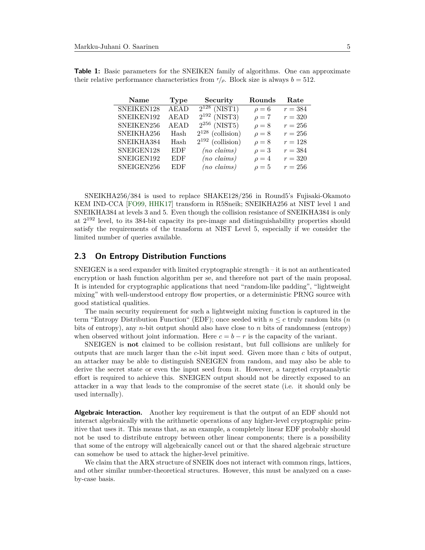| <b>Name</b> | <b>Type</b> | Security              | Rounds     | Rate      |
|-------------|-------------|-----------------------|------------|-----------|
| SNEIKEN128  | <b>AEAD</b> | $2^{128}$ (NIST1)     | $\rho = 6$ | $r = 384$ |
| SNEIKEN192  | <b>AEAD</b> | $2^{192}$ (NIST3)     | $\rho = 7$ | $r = 320$ |
| SNEIKEN256  | <b>AEAD</b> | $2^{256}$ (NIST5)     | $\rho = 8$ | $r=256$   |
| SNEIKHA256  | Hash        | $2^{128}$ (collision) | $\rho = 8$ | $r = 256$ |
| SNEIKHA384  | Hash        | $2^{192}$ (collision) | $\rho = 8$ | $r = 128$ |
| SNEIGEN128  | <b>EDF</b>  | $(no \; claims)$      | $\rho=3$   | $r = 384$ |
| SNEIGEN192  | <b>EDF</b>  | $(no \; claims)$      | $\rho = 4$ | $r = 320$ |
| SNEIGEN256  | <b>EDF</b>  | $(no \; claims)$      | $\rho = 5$ | $r = 256$ |

<span id="page-4-0"></span>**Table 1:** Basic parameters for the SNEIKEN family of algorithms. One can approximate their relative performance characteristics from  $r/\rho$ . Block size is always  $b = 512$ .

SNEIKHA256/384 is used to replace SHAKE128/256 in Round5's Fujisaki-Okamoto KEM IND-CCA [\[FO99](#page-10-5), [HHK17](#page-11-9)] transform in R5Sneik; SNEIKHA256 at NIST level 1 and SNEIKHA384 at levels 3 and 5. Even though the collision resistance of SNEIKHA384 is only at 2<sup>192</sup> level, to its 384-bit capacity its pre-image and distinguishability properties should satisfy the requirements of the transform at NIST Level 5, especially if we consider the limited number of queries available.

#### **2.3 On Entropy Distribution Functions**

SNEIGEN is a seed expander with limited cryptographic strength  $-$  it is not an authenticated encryption or hash function algorithm per se, and therefore not part of the main proposal. It is intended for cryptographic applications that need "random-like padding", "lightweight mixing" with well-understood entropy flow properties, or a deterministic PRNG source with good statistical qualities.

The main security requirement for such a lightweight mixing function is captured in the term "Entropy Distribution Function" (EDF); once seeded with  $n \leq c$  truly random bits (*n* bits of entropy), any *n*-bit output should also have close to *n* bits of randomness (entropy) when observed without joint information. Here  $c = b - r$  is the capacity of the variant.

SNEIGEN is **not** claimed to be collision resistant, but full collisions are unlikely for outputs that are much larger than the *c*-bit input seed. Given more than *c* bits of output, an attacker may be able to distinguish SNEIGEN from random, and may also be able to derive the secret state or even the input seed from it. However, a targeted cryptanalytic effort is required to achieve this. SNEIGEN output should not be directly exposed to an attacker in a way that leads to the compromise of the secret state (i.e. it should only be used internally).

**Algebraic Interaction.** Another key requirement is that the output of an EDF should not interact algebraically with the arithmetic operations of any higher-level cryptographic primitive that uses it. This means that, as an example, a completely linear EDF probably should not be used to distribute entropy between other linear components; there is a possibility that some of the entropy will algebraically cancel out or that the shared algebraic structure can somehow be used to attack the higher-level primitive.

We claim that the ARX structure of SNEIK does not interact with common rings, lattices, and other similar number-theoretical structures. However, this must be analyzed on a caseby-case basis.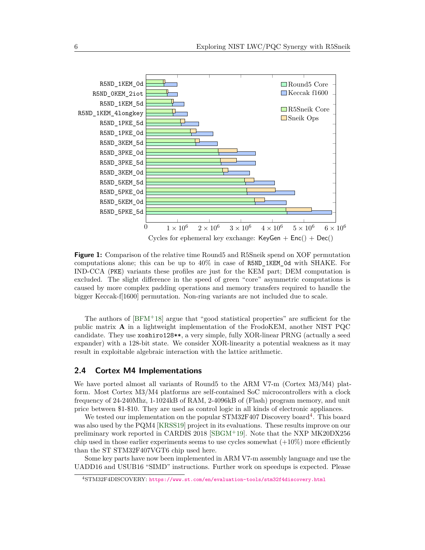<span id="page-5-1"></span>

**Figure 1:** Comparison of the relative time Round5 and R5Sneik spend on XOF permutation computations alone; this can be up to 40% in case of R5ND\_1KEM\_0d with SHAKE. For IND-CCA (PKE) variants these profiles are just for the KEM part; DEM computation is excluded. The slight difference in the speed of green "core" asymmetric computations is caused by more complex padding operations and memory transfers required to handle the bigger Keccak-f[1600] permutation. Non-ring variants are not included due to scale.

The authors of  $[BFM<sup>+</sup>18]$  $[BFM<sup>+</sup>18]$  $[BFM<sup>+</sup>18]$  argue that "good statistical properties" are sufficient for the public matrix **A** in a lightweight implementation of the FrodoKEM, another NIST PQC candidate. They use xoshiro128\*\*, a very simple, fully XOR-linear PRNG (actually a seed expander) with a 128-bit state. We consider XOR-linearity a potential weakness as it may result in exploitable algebraic interaction with the lattice arithmetic.

## **2.4 Cortex M4 Implementations**

We have ported almost all variants of Round5 to the ARM V7-m (Cortex M3/M4) platform. Most Cortex M3/M4 platforms are self-contained SoC microcontrollers with a clock frequency of 24-240Mhz, 1-1024kB of RAM, 2-4096kB of (Flash) program memory, and unit price between \$1-\$10. They are used as control logic in all kinds of electronic appliances.

We tested our implementation on the popular STM32F[4](#page-5-0)07 Discovery board<sup>4</sup>. This board was also used by the PQM4 [[KRSS19\]](#page-12-8) project in its evaluations. These results improve on our preliminary work reported in CARDIS 2018 [[SBGM](#page-13-5)<sup>+</sup>19]. Note that the NXP MK20DX256 chip used in those earlier experiments seems to use cycles somewhat  $(+10\%)$  more efficiently than the ST STM32F407VGT6 chip used here.

Some key parts have now been implemented in ARM V7-m assembly language and use the UADD16 and USUB16 "SIMD" instructions. Further work on speedups is expected. Please

<span id="page-5-0"></span><sup>4</sup>STM32F4DISCOVERY: <https://www.st.com/en/evaluation-tools/stm32f4discovery.html>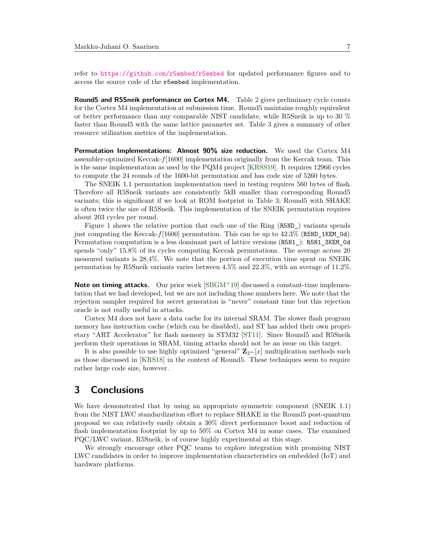refer to <https://github.com/r5embed/r5embed> for updated performance figures and to access the source code of the r5embed implementation.

**Round5 and R5Sneik performance on Cortex M4.** Table [2](#page-7-0) gives preliminary cycle counts for the Cortex M4 implementation at submission time. Round5 maintains roughly equivalent or better performance than any comparable NIST candidate, while R5Sneik is up to 30 % faster than Round5 with the same lattice parameter set. Table [3](#page-8-0) gives a summary of other resource utilization metrics of the implementation.

**Permutation Implementations: Almost 90% size reduction.** We used the Cortex M4 assembler-optimized Keccak-*f*[1600] implementation originally from the Keccak team. This is the same implementation as used by the PQM4 project [\[KRSS19](#page-12-8)]. It requires 12966 cycles to compute the 24 rounds of the 1600-bit permutation and has code size of 5260 bytes.

The SNEIK 1.1 permutation implementation used in testing requires 560 bytes of flash. Therefore all R5Sneik variants are consistently 5kB smaller than corresponding Round5 variants; this is significant if we look at ROM footprint in Table [3;](#page-8-0) Round5 with SHAKE is often twice the size of R5Sneik. This implementation of the SNEIK permutation requires about 203 cycles per round.

Figure [1](#page-5-1) shows the relative portion that each one of the Ring (R5ND\_) variants spends just computing the Keccak-*f*[1600] permutation. This can be up to 42*.*3% (R5ND\_1KEM\_0d). Permutation computation is a less dominant part of lattice versions (R5N1\_): R5N1\_3KEM\_0d spends "only" 15*.*8% of its cycles computing Keccak permutations. The average across 20 measured variants is 28*.*4%. We note that the portion of execution time spent on SNEIK permutation by R5Sneik variants varies between 4*.*5% and 22*.*3%, with an average of 11*.*2%.

**Note on timing attacks.** Our prior work [[SBGM](#page-13-5)<sup>+</sup>19] discussed a constant-time implementation that we had developed, but we are not including those numbers here. We note that the rejection sampler required for secret generation is "never" constant time but this rejection oracle is not really useful in attacks.

Cortex M4 does not have a data cache for its internal SRAM. The slower flash program memory has instruction cache (which can be disabled), and ST has added their own proprietary "ART Accelerator" for flash memory in STM32 [[ST11](#page-13-8)]. Since Round5 and R5Sneik perform their operations in SRAM, timing attacks should not be an issue on this target.

It is also possible to use highly optimized "general"  $\mathbf{Z}_{2^m}[x]$  multiplication methods such as those discussed in [\[KRS18\]](#page-12-9) in the context of Round5. These techniques seem to require rather large code size, however.

#### **3 Conclusions**

We have demonstrated that by using an appropriate symmetric component (SNEIK 1.1) from the NIST LWC standardization effort to replace SHAKE in the Round5 post-quantum proposal we can relatively easily obtain a 30% direct performance boost and reduction of flash implementation footprint by up to 50% on Cortex M4 in some cases. The examined PQC/LWC variant, R5Sneik, is of course highly experimental at this stage.

We strongly encourage other PQC teams to explore integration with promising NIST LWC candidates in order to improve implementation characteristics on embedded (IoT) and hardware platforms.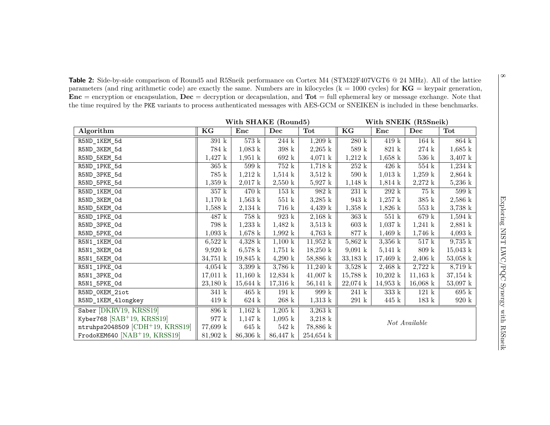**Table 2:** Side-by-side comparison of Round5 and R5Sneik performance on Cortex M4 (STM32F407VGT6 @ <sup>24</sup> MHz). All of the lattice parameters (and ring arithmetic code) are exactly the same. Numbers are in kilocycles ( $k = 1000$  cycles) for  $KG = key pair generation$ , **Enc** <sup>=</sup> encryption or encapsulation, **Dec** <sup>=</sup> decryption or decapsulation, and **Tot** <sup>=</sup> full ephemeral key or message exchange. Note that the time required by the PKE variants to process authenticated messages with AES-GCM or SNEIKEN is included in these benchmarks.

**With**

<span id="page-7-0"></span>

|                                   |                    | With SHAKE (Round5) |                    |                     | With SNEIK (R5Sneik) |                    |                    |                    |  |
|-----------------------------------|--------------------|---------------------|--------------------|---------------------|----------------------|--------------------|--------------------|--------------------|--|
| Algorithm                         | KG                 | Enc                 | Dec                | Tot                 | KG                   | Enc                | Dec                | Tot                |  |
| R5ND_1KEM_5d                      | 391k               | $573~\mathrm{k}$    | $244~\mathrm{k}$   | $1,209 \;{\rm k}$   | 280 k                | 419k               | $164~\mathrm{k}$   | $864$ k            |  |
| R5ND_3KEM_5d                      | 784 k              | $1,083 \text{ k}$   | $398~\mathrm{k}$   | $2,265 \;{\rm k}$   | 589 k                | 821 k              | $274\ {\rm k}$     | $1,685 \text{ k}$  |  |
| R5ND_5KEM_5d                      | $1,427 \text{ k}$  | $1,951 \mathrm{k}$  | 692k               | $4,071 \;{\rm k}$   | $1,212 \;{\rm k}$    | $1,658 \text{ k}$  | $536\;k$           | $3,407 \;{\rm k}$  |  |
| R5ND_1PKE_5d                      | $365\;k$           | $599~\mathrm{k}$    | 752 k              | $1,718 \text{ k}$   | $252~\mathrm{k}$     | $426 \text{ k}$    | $554\,$ k          | $1,234 \;{\rm k}$  |  |
| R5ND_3PKE_5d                      | 785 k              | 1,212 k             | $1,514 \;{\rm k}$  | $3,512 \text{ k}$   | $590~\mathrm{k}$     | $1,013 \text{ k}$  | $1,259 \text{ k}$  | $2,864 \text{ k}$  |  |
| R5ND_5PKE_5d                      | $1,359 \text{ k}$  | $2,017 \text{ k}$   | $2,550 \text{ k}$  | $5,927 \text{ k}$   | $1,148 \text{ k}$    | $1,814 \;{\rm k}$  | $2,272 \text{ k}$  | $5,236 \text{ k}$  |  |
| R5ND_1KEM_0d                      | 357 k              | 470 k               | $153 \text{ k}$    | 982 k               | $231 \text{ k}$      | 292k               | 75 k               | 599 k              |  |
| R5ND_3KEM_0d                      | $1,170 \text{ k}$  | $1,563 \;{\rm k}$   | $551~\mathrm{k}$   | $3,285 \;{\rm k}$   | $943~\mathrm{k}$     | $1,257 \;{\rm k}$  | $385\;{\rm k}$     | $2,586 \text{ k}$  |  |
| R5ND_5KEM_0d                      | $1,588 \text{ k}$  | $2,134 \;{\rm k}$   | 716 k              | $4,439 \text{ k}$   | $1,358 \text{ k}$    | $1,826 \text{ k}$  | $553~\mathrm{k}$   | $3,738 \text{ k}$  |  |
| R5ND_1PKE_Od                      | 487 k              | 758k                | 923k               | $2,168$ k           | $363~\mathrm{k}$     | 551 k              | 679 k              | $1,594 \text{ k}$  |  |
| R5ND_3PKE_0d                      | 798 k              | $1,233 \;k$         | $1,482 \text{ k}$  | $3,513 \text{ k}$   | $603~\mathrm{k}$     | $1,037 \;{\rm k}$  | $1,241 \;{\rm k}$  | $2,881 \text{ k}$  |  |
| R5ND_5PKE_0d                      | $1,093 \;{\rm k}$  | $1,678 \text{ k}$   | $1,992 \text{ k}$  | $4,763 \;{\rm k}$   | $877~\mathrm{k}$     | $1,469 \text{ k}$  | $1,746 \text{ k}$  | $4,093 \;{\rm k}$  |  |
| R5N1_1KEM_0d                      | $6,522 \text{ k}$  | $4,328 \text{ k}$   | $1,100 \text{ k}$  | $11,952 \text{ k}$  | $5,862 \text{ k}$    | $3,356$ k          | $517~\mathrm{k}$   | $9,735 \text{ k}$  |  |
| R5N1_3KEM_0d                      | 9,920 k            | $6,578 \text{ k}$   | $1,751 \;{\rm k}$  | $18,250 \text{ k}$  | $9,091 \text{ k}$    | $5,141 \;{\rm k}$  | 809 k              | $15,043 \text{ k}$ |  |
| R5N1_5KEM_0d                      | $34,751 \text{ k}$ | $19,845 \text{ k}$  | $4,290 \text{ k}$  | 58,886 k            | $33,183 \text{ k}$   | $17,469 \text{ k}$ | $2,406 \text{ k}$  | $53,058 \text{ k}$ |  |
| R5N1_1PKE_Od                      | $4,054 \;{\rm k}$  | 3,399 k             | $3,786 \text{ k}$  | $11,240 \text{ k}$  | $3,528 \text{ k}$    | $2,468 \text{ k}$  | 2,722 k            | $8,719 \text{ k}$  |  |
| R5N1_3PKE_Od                      | $17,011 \text{ k}$ | $11,160 \text{ k}$  | $12,834 \text{ k}$ | $41,007 \text{ k}$  | $15,788 \text{ k}$   | $10,202 \text{ k}$ | $11,163 \text{ k}$ | $37,154 \text{ k}$ |  |
| R5N1_5PKE_Od                      | $23,180 \text{ k}$ | $15,644 \text{ k}$  | $17,316 \text{ k}$ | $56,141 \text{ k}$  | $22,074 \text{ k}$   | $14,953 \text{ k}$ | $16,068 \text{ k}$ | $53,097 \text{ k}$ |  |
| R5ND_OKEM_2iot                    | 341 k              | $465 \text{ k}$     | 191k               | 999 k               | 241k                 | 333 k              | 121 k              | 695k               |  |
| R5ND_1KEM_4longkey                | 419k               | $624\;{\rm k}$      | $268~{\rm k}$      | $1,313 \;{\rm k}$   | $291 \text{ k}$      | $445 \text{ k}$    | 183k               | 920 k              |  |
| Saber [DKRV19, KRSS19]            | 896 k              | $1,162 \text{ k}$   | $1,205 \;{\rm k}$  | $3,263 \text{ k}$   |                      |                    |                    |                    |  |
| Kyber768 $[SAB+19, KRSS19]$       | 977 k              | $1,147 \text{ k}$   | $1,095 \text{ k}$  | $3,218 \text{ k}$   | Not Available        |                    |                    |                    |  |
| ntruhps2048509 $[CDH+19, KRSS19]$ | 77,699 k           | 645k                | 542k               | 78,886 k            |                      |                    |                    |                    |  |
| FrodoKEM640 $[NAB+19, KRSS19]$    | $81,902 \text{ k}$ | $86,306 \text{ k}$  | $86,447 \text{ k}$ | $254,654 \text{ k}$ |                      |                    |                    |                    |  |

 $\infty$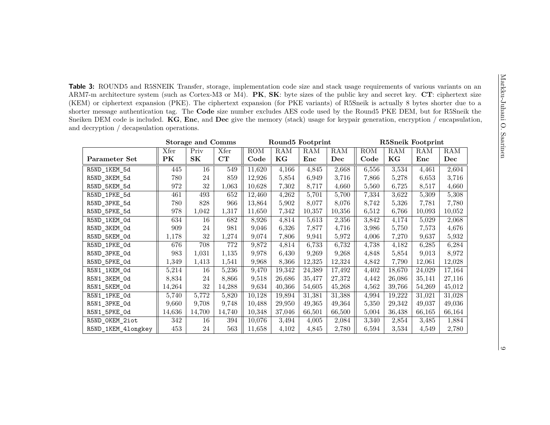**Table 3:** ROUND5 and R5SNEIK Transfer, storage, implementation code size and stack usage requirements of various variants on an ARM7-m architecture system (such as Cortex-M3 or M4). **PK**, **SK**: byte sizes of the public key and secret key. **CT**: ciphertext size (KEM) or ciphertext expansion (PKE). The ciphertext expansion (for PKE variants) of R5Sneik is actually <sup>8</sup> bytes shorter due to <sup>a</sup> shorter message authentication tag. The **Code** size number excludes AES code used by the Round5 PKE DEM, but for R5Sneik the Sneiken DEM code is included. **KG**, **Enc**, and **Dec** <sup>g</sup>ive the memory (stack) usage for keypair generation, encryption / encapsulation, and decryption / decapsulation operations.

<span id="page-8-0"></span>

|                    |        | <b>Storage and Comms</b> |        | Round5 Footprint |        |            | R5Sneik Footprint |                         |        |        |        |
|--------------------|--------|--------------------------|--------|------------------|--------|------------|-------------------|-------------------------|--------|--------|--------|
|                    | Xfer   | Priv                     | Xfer   | ROM              | RAM    | <b>RAM</b> | RAM               | $\overline{\text{ROM}}$ | RAM    | RAM    | RAM    |
| Parameter Set      | PK     | SK                       | CT     | Code             | KG     | Enc        | Dec               | Code                    | KG     | Enc    | Dec    |
| R5ND_1KEM_5d       | 445    | 16                       | 549    | 11,620           | 4,166  | 4,845      | 2,668             | 6,556                   | 3,534  | 4,461  | 2,604  |
| R5ND_3KEM_5d       | 780    | 24                       | 859    | 12,926           | 5,854  | 6,949      | 3,716             | 7,866                   | 5,278  | 6,653  | 3,716  |
| R5ND_5KEM_5d       | 972    | 32                       | 1,063  | 10,628           | 7,302  | 8,717      | 4,660             | 5,560                   | 6,725  | 8,517  | 4,660  |
| R5ND_1PKE_5d       | 461    | 493                      | 652    | 12,460           | 4,262  | 5,701      | 5,700             | 7,334                   | 3,622  | 5,309  | 5,308  |
| R5ND_3PKE_5d       | 780    | 828                      | 966    | 13,864           | 5,902  | 8,077      | 8,076             | 8,742                   | 5,326  | 7,781  | 7,780  |
| R5ND_5PKE_5d       | 978    | 1,042                    | 1,317  | 11,650           | 7,342  | 10,357     | 10,356            | 6,512                   | 6,766  | 10,093 | 10,052 |
| R5ND_1KEM_0d       | 634    | 16                       | 682    | 8,926            | 4,814  | 5,613      | 2,356             | 3,842                   | 4,174  | 5,029  | 2,068  |
| R5ND_3KEM_0d       | 909    | 24                       | 981    | 9,046            | 6,326  | 7,877      | 4,716             | 3,986                   | 5,750  | 7,573  | 4,676  |
| R5ND_5KEM_0d       | 1,178  | 32                       | 1,274  | 9,074            | 7,806  | 9,941      | 5,972             | 4,006                   | 7,270  | 9,637  | 5,932  |
| R5ND_1PKE_0d       | 676    | 708                      | 772    | 9,872            | 4,814  | 6,733      | 6,732             | 4,738                   | 4,182  | 6,285  | 6,284  |
| R5ND_3PKE_0d       | 983    | 1,031                    | 1,135  | 9,978            | 6,430  | 9,269      | 9,268             | 4,848                   | 5,854  | 9,013  | 8,972  |
| R5ND_5PKE_0d       | 1,349  | 1,413                    | 1,541  | 9,968            | 8,366  | 12,325     | 12,324            | 4,842                   | 7,790  | 12,061 | 12,028 |
| R5N1_1KEM_0d       | 5,214  | 16                       | 5,236  | 9,470            | 19,342 | 24,389     | 17,492            | 4,402                   | 18,670 | 24,029 | 17,164 |
| R5N1_3KEM_0d       | 8,834  | 24                       | 8,866  | 9,518            | 26,686 | 35,477     | 27,372            | 4,442                   | 26,086 | 35,141 | 27,116 |
| R5N1_5KEM_0d       | 14,264 | 32                       | 14,288 | 9,634            | 40,366 | 54,605     | 45,268            | 4,562                   | 39,766 | 54,269 | 45,012 |
| R5N1_1PKE_0d       | 5,740  | 5,772                    | 5,820  | 10,128           | 19,894 | 31,381     | 31,388            | 4,994                   | 19,222 | 31,021 | 31,028 |
| R5N1_3PKE_0d       | 9,660  | 9,708                    | 9,748  | 10,488           | 29,950 | 49,365     | 49,364            | 5,350                   | 29,342 | 49,037 | 49,036 |
| R5N1_5PKE_0d       | 14,636 | 14,700                   | 14,740 | 10,348           | 37,046 | 66,501     | 66,500            | 5,004                   | 36,438 | 66,165 | 66,164 |
| R5ND_OKEM_2iot     | 342    | 16                       | 394    | 10,076           | 3,494  | 4,005      | 2,084             | 3,340                   | 2,854  | 3,485  | 1,884  |
| R5ND_1KEM_4longkey | 453    | 24                       | 563    | 11,658           | 4,102  | 4,845      | 2,780             | 6,594                   | 3,534  | 4,549  | 2,780  |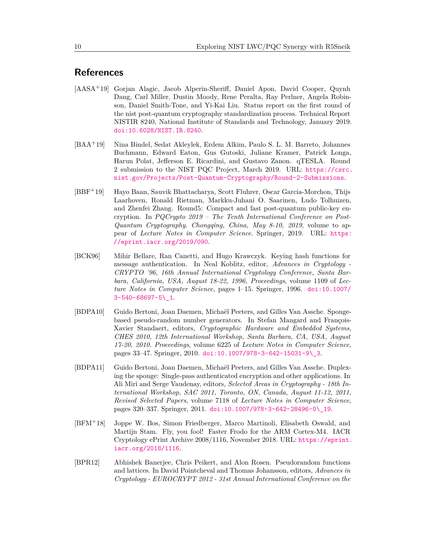## **References**

- <span id="page-9-0"></span>[AASA+19] Gorjan Alagic, Jacob Alperin-Sheriff, Daniel Apon, David Cooper, Quynh Dang, Carl Miller, Dustin Moody, Rene Peralta, Ray Perlner, Angela Robinson, Daniel Smith-Tone, and Yi-Kai Liu. Status report on the first round of the nist post-quantum cryptography standardization process. Technical Report NISTIR 8240, National Institute of Standards and Technology, January 2019. [doi:10.6028/NIST.IR.8240](http://dx.doi.org/10.6028/NIST.IR.8240).
- <span id="page-9-2"></span>[BAA+19] Nina Bindel, Sedat Akleylek, Erdem Alkim, Paulo S. L. M. Barreto, Johannes Buchmann, Edward Eaton, Gus Gutoski, Juliane Kramer, Patrick Longa, Harun Polat, Jefferson E. Ricardini, and Gustavo Zanon. qTESLA. Round 2 submission to the NIST PQC Project, March 2019. URL: [https://csrc.](https://csrc.nist.gov/Projects/Post-Quantum-Cryptography/Round-2-Submissions) [nist.gov/Projects/Post-Quantum-Cryptography/Round-2-Submissions](https://csrc.nist.gov/Projects/Post-Quantum-Cryptography/Round-2-Submissions).
- <span id="page-9-7"></span>[BBF+19] Hayo Baan, Sauvik Bhattacharya, Scott Fluhrer, Oscar Garcia-Morchon, Thijs Laarhoven, Ronald Rietman, Markku-Juhani O. Saarinen, Ludo Tolhuizen, and Zhenfei Zhang. Round5: Compact and fast post-quantum public-key encryption. In *PQCrypto 2019 – The Tenth International Conference on Post-Quantum Cryptography. Chongqing, China, May 8-10, 2019*, volume to appear of *Lecture Notes in Computer Science*. Springer, 2019. URL: [https:](https://eprint.iacr.org/2019/090) [//eprint.iacr.org/2019/090](https://eprint.iacr.org/2019/090).
- <span id="page-9-4"></span>[BCK96] Mihir Bellare, Ran Canetti, and Hugo Krawczyk. Keying hash functions for message authentication. In Neal Koblitz, editor, *Advances in Cryptology - CRYPTO '96, 16th Annual International Cryptology Conference, Santa Barbara, California, USA, August 18-22, 1996, Proceedings*, volume 1109 of *Lecture Notes in Computer Science*, pages 1–15. Springer, 1996. [doi:10.1007/](http://dx.doi.org/10.1007/3-540-68697-5_1) [3-540-68697-5\\\_1](http://dx.doi.org/10.1007/3-540-68697-5_1).
- <span id="page-9-5"></span>[BDPA10] Guido Bertoni, Joan Daemen, Michaël Peeters, and Gilles Van Assche. Spongebased pseudo-random number generators. In Stefan Mangard and François-Xavier Standaert, editors, *Cryptographic Hardware and Embedded Systems, CHES 2010, 12th International Workshop, Santa Barbara, CA, USA, August 17-20, 2010. Proceedings*, volume 6225 of *Lecture Notes in Computer Science*, pages 33–47. Springer, 2010. [doi:10.1007/978-3-642-15031-9\\\_3](http://dx.doi.org/10.1007/978-3-642-15031-9_3).
- <span id="page-9-6"></span>[BDPA11] Guido Bertoni, Joan Daemen, Michaël Peeters, and Gilles Van Assche. Duplexing the sponge: Single-pass authenticated encryption and other applications. In Ali Miri and Serge Vaudenay, editors, *Selected Areas in Cryptography - 18th International Workshop, SAC 2011, Toronto, ON, Canada, August 11-12, 2011, Revised Selected Papers*, volume 7118 of *Lecture Notes in Computer Science*, pages 320–337. Springer, 2011. [doi:10.1007/978-3-642-28496-0\\\_19](http://dx.doi.org/10.1007/978-3-642-28496-0_19).
- <span id="page-9-3"></span>[BFM<sup>+</sup>18] Joppe W. Bos, Simon Friedberger, Marco Martinoli, Elisabeth Oswald, and Martijn Stam. Fly, you fool! Faster Frodo for the ARM Cortex-M4. IACR Cryptology ePrint Archive 2008/1116, November 2018. URL: [https://eprint.](https://eprint.iacr.org/2018/1116) [iacr.org/2018/1116](https://eprint.iacr.org/2018/1116).
- <span id="page-9-1"></span>[BPR12] Abhishek Banerjee, Chris Peikert, and Alon Rosen. Pseudorandom functions and lattices. In David Pointcheval and Thomas Johansson, editors, *Advances in Cryptology - EUROCRYPT 2012 - 31st Annual International Conference on the*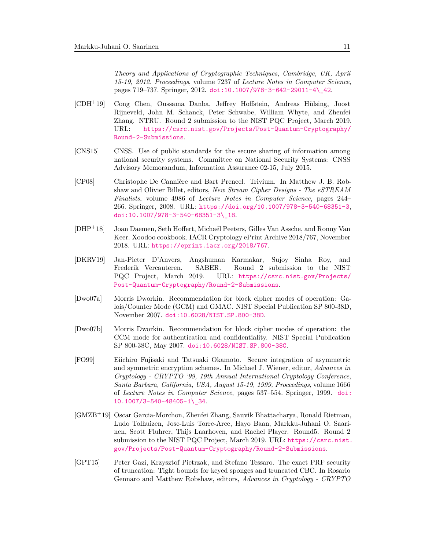<span id="page-10-10"></span><span id="page-10-9"></span>*Theory and Applications of Cryptographic Techniques, Cambridge, UK, April 15-19, 2012. Proceedings*, volume 7237 of *Lecture Notes in Computer Science*, pages 719–737. Springer, 2012. [doi:10.1007/978-3-642-29011-4\\\_42](http://dx.doi.org/10.1007/978-3-642-29011-4_42).

- [CDH+19] Cong Chen, Oussama Danba, Jeffrey Hoffstein, Andreas Hülsing, Joost Rijneveld, John M. Schanck, Peter Schwabe, William Whyte, and Zhenfei Zhang. NTRU. Round 2 submission to the NIST PQC Project, March 2019. URL: [https://csrc.nist.gov/Projects/Post-Quantum-Cryptography/](https://csrc.nist.gov/Projects/Post-Quantum-Cryptography/Round-2-Submissions) [Round-2-Submissions](https://csrc.nist.gov/Projects/Post-Quantum-Cryptography/Round-2-Submissions).
- <span id="page-10-0"></span>[CNS15] CNSS. Use of public standards for the secure sharing of information among national security systems. Committee on National Security Systems: CNSS Advisory Memorandum, Information Assurance 02-15, July 2015.
- <span id="page-10-6"></span>[CP08] Christophe De Cannière and Bart Preneel. Trivium. In Matthew J. B. Robshaw and Olivier Billet, editors, *New Stream Cipher Designs - The eSTREAM Finalists*, volume 4986 of *Lecture Notes in Computer Science*, pages 244– 266. Springer, 2008. URL: <https://doi.org/10.1007/978-3-540-68351-3>, [doi:10.1007/978-3-540-68351-3\\\_18](http://dx.doi.org/10.1007/978-3-540-68351-3_18).
- <span id="page-10-8"></span>[DHP+18] Joan Daemen, Seth Hoffert, Michaël Peeters, Gilles Van Assche, and Ronny Van Keer. Xoodoo cookbook. IACR Cryptology ePrint Archive 2018/767, November 2018. URL: <https://eprint.iacr.org/2018/767>.
- <span id="page-10-4"></span>[DKRV19] Jan-Pieter D'Anvers, Angshuman Karmakar, Sujoy Sinha Roy, and Frederik Vercauteren. SABER. Round 2 submission to the NIST PQC Project, March 2019. URL: [https://csrc.nist.gov/Projects/](https://csrc.nist.gov/Projects/Post-Quantum-Cryptography/Round-2-Submissions) [Post-Quantum-Cryptography/Round-2-Submissions](https://csrc.nist.gov/Projects/Post-Quantum-Cryptography/Round-2-Submissions).
- <span id="page-10-1"></span>[Dwo07a] Morris Dworkin. Recommendation for block cipher modes of operation: Galois/Counter Mode (GCM) and GMAC. NIST Special Publication SP 800-38D, November 2007. [doi:10.6028/NIST.SP.800-38D](http://dx.doi.org/10.6028/NIST.SP.800-38D).
- <span id="page-10-2"></span>[Dwo07b] Morris Dworkin. Recommendation for block cipher modes of operation: the CCM mode for authentication and confidentiality. NIST Special Publication SP 800-38C, May 2007. [doi:10.6028/NIST.SP.800-38C](http://dx.doi.org/10.6028/NIST.SP.800-38C).
- <span id="page-10-5"></span>[FO99] Eiichiro Fujisaki and Tatsuaki Okamoto. Secure integration of asymmetric and symmetric encryption schemes. In Michael J. Wiener, editor, *Advances in Cryptology - CRYPTO '99, 19th Annual International Cryptology Conference, Santa Barbara, California, USA, August 15-19, 1999, Proceedings*, volume 1666 of *Lecture Notes in Computer Science*, pages 537–554. Springer, 1999. [doi:](http://dx.doi.org/10.1007/3-540-48405-1_34) [10.1007/3-540-48405-1\\\_34](http://dx.doi.org/10.1007/3-540-48405-1_34).
- <span id="page-10-3"></span>[GMZB<sup>+</sup>19] Oscar Garcia-Morchon, Zhenfei Zhang, Sauvik Bhattacharya, Ronald Rietman, Ludo Tolhuizen, Jose-Luis Torre-Arce, Hayo Baan, Markku-Juhani O. Saarinen, Scott Fluhrer, Thijs Laarhoven, and Rachel Player. Round5. Round 2 submission to the NIST PQC Project, March 2019. URL: [https://csrc.nist.](https://csrc.nist.gov/Projects/Post-Quantum-Cryptography/Round-2-Submissions) [gov/Projects/Post-Quantum-Cryptography/Round-2-Submissions](https://csrc.nist.gov/Projects/Post-Quantum-Cryptography/Round-2-Submissions).
- <span id="page-10-7"></span>[GPT15] Peter Gazi, Krzysztof Pietrzak, and Stefano Tessaro. The exact PRF security of truncation: Tight bounds for keyed sponges and truncated CBC. In Rosario Gennaro and Matthew Robshaw, editors, *Advances in Cryptology - CRYPTO*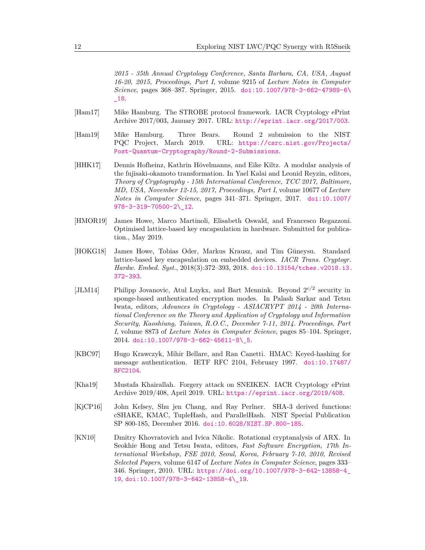*2015 - 35th Annual Cryptology Conference, Santa Barbara, CA, USA, August 16-20, 2015, Proceedings, Part I*, volume 9215 of *Lecture Notes in Computer Science*, pages 368–387. Springer, 2015. [doi:10.1007/978-3-662-47989-6\](http://dx.doi.org/10.1007/978-3-662-47989-6_18) [\\_18](http://dx.doi.org/10.1007/978-3-662-47989-6_18).

- <span id="page-11-6"></span>[Ham17] Mike Hamburg. The STROBE protocol framework. IACR Cryptology ePrint Archive 2017/003, January 2017. URL: <http://eprint.iacr.org/2017/003>.
- <span id="page-11-0"></span>[Ham19] Mike Hamburg. Three Bears. Round 2 submission to the NIST PQC Project, March 2019. URL: [https://csrc.nist.gov/Projects/](https://csrc.nist.gov/Projects/Post-Quantum-Cryptography/Round-2-Submissions) [Post-Quantum-Cryptography/Round-2-Submissions](https://csrc.nist.gov/Projects/Post-Quantum-Cryptography/Round-2-Submissions).
- <span id="page-11-9"></span>[HHK17] Dennis Hofheinz, Kathrin Hövelmanns, and Eike Kiltz. A modular analysis of the fujisaki-okamoto transformation. In Yael Kalai and Leonid Reyzin, editors, *Theory of Cryptography - 15th International Conference, TCC 2017, Baltimore, MD, USA, November 12-15, 2017, Proceedings, Part I*, volume 10677 of *Lecture Notes in Computer Science*, pages 341–371. Springer, 2017. [doi:10.1007/](http://dx.doi.org/10.1007/978-3-319-70500-2_12) [978-3-319-70500-2\\\_12](http://dx.doi.org/10.1007/978-3-319-70500-2_12).
- <span id="page-11-3"></span>[HMOR19] James Howe, Marco Martinoli, Elisabeth Oswald, and Francesco Regazzoni. Optimised lattice-based key encapsulation in hardware. Submitted for publication., May 2019.
- <span id="page-11-2"></span>[HOKG18] James Howe, Tobias Oder, Markus Krausz, and Tim Güneysu. Standard lattice-based key encapsulation on embedded devices. *IACR Trans. Cryptogr. Hardw. Embed. Syst.*, 2018(3):372–393, 2018. [doi:10.13154/tches.v2018.i3.](http://dx.doi.org/10.13154/tches.v2018.i3.372-393) [372-393](http://dx.doi.org/10.13154/tches.v2018.i3.372-393).
- <span id="page-11-5"></span>[JLM14] Philipp Jovanovic, Atul Luykx, and Bart Mennink. Beyond  $2^{c/2}$  security in sponge-based authenticated encryption modes. In Palash Sarkar and Tetsu Iwata, editors, *Advances in Cryptology - ASIACRYPT 2014 - 20th International Conference on the Theory and Application of Cryptology and Information Security, Kaoshiung, Taiwan, R.O.C., December 7-11, 2014. Proceedings, Part I*, volume 8873 of *Lecture Notes in Computer Science*, pages 85–104. Springer, 2014. [doi:10.1007/978-3-662-45611-8\\\_5](http://dx.doi.org/10.1007/978-3-662-45611-8_5).
- <span id="page-11-4"></span>[KBC97] Hugo Krawczyk, Mihir Bellare, and Ran Canetti. HMAC: Keyed-hashing for message authentication. IETF RFC 2104, February 1997. [doi:10.17487/](http://dx.doi.org/10.17487/RFC2104) [RFC2104](http://dx.doi.org/10.17487/RFC2104).
- <span id="page-11-7"></span>[Kha19] Mustafa Khairallah. Forgery attack on SNEIKEN. IACR Cryptology ePrint Archive 2019/408, April 2019. URL: <https://eprint.iacr.org/2019/408>.
- <span id="page-11-1"></span>[KjCP16] John Kelsey, Shu jen Chang, and Ray Perlner. SHA-3 derived functions: cSHAKE, KMAC, TupleHash, and ParallelHash. NIST Special Publication SP 800-185, December 2016. [doi:10.6028/NIST.SP.800-185](http://dx.doi.org/10.6028/NIST.SP.800-185).
- <span id="page-11-8"></span>[KN10] Dmitry Khovratovich and Ivica Nikolic. Rotational cryptanalysis of ARX. In Seokhie Hong and Tetsu Iwata, editors, *Fast Software Encryption, 17th International Workshop, FSE 2010, Seoul, Korea, February 7-10, 2010, Revised Selected Papers*, volume 6147 of *Lecture Notes in Computer Science*, pages 333– 346. Springer, 2010. URL: [https://doi.org/10.1007/978-3-642-13858-4\\_](https://doi.org/10.1007/978-3-642-13858-4_19) [19](https://doi.org/10.1007/978-3-642-13858-4_19), [doi:10.1007/978-3-642-13858-4\\\_19](http://dx.doi.org/10.1007/978-3-642-13858-4_19).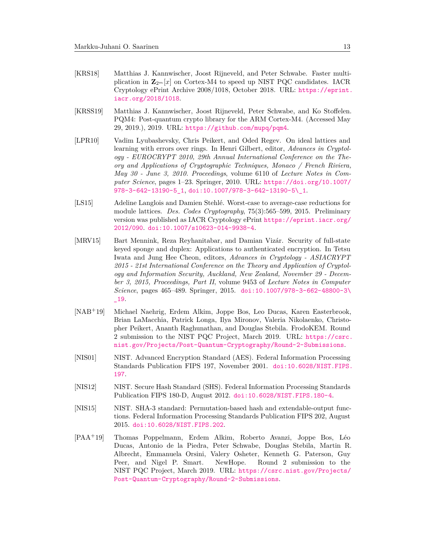- <span id="page-12-11"></span><span id="page-12-10"></span><span id="page-12-9"></span>[KRS18] Matthias J. Kannwischer, Joost Rijneveld, and Peter Schwabe. Faster multiplication in  $\mathbf{Z}_{2^m}[x]$  on Cortex-M4 to speed up NIST PQC candidates. IACR Cryptology ePrint Archive 2008/1018, October 2018. URL: [https://eprint.](https://eprint.iacr.org/2018/1018) [iacr.org/2018/1018](https://eprint.iacr.org/2018/1018).
- <span id="page-12-8"></span>[KRSS19] Matthias J. Kannwischer, Joost Rijneveld, Peter Schwabe, and Ko Stoffelen. PQM4: Post-quantum crypto library for the ARM Cortex-M4. (Accessed May 29, 2019.), 2019. URL: <https://github.com/mupq/pqm4>.
- <span id="page-12-3"></span>[LPR10] Vadim Lyubashevsky, Chris Peikert, and Oded Regev. On ideal lattices and learning with errors over rings. In Henri Gilbert, editor, *Advances in Cryptology - EUROCRYPT 2010, 29th Annual International Conference on the Theory and Applications of Cryptographic Techniques, Monaco / French Riviera, May 30 - June 3, 2010. Proceedings*, volume 6110 of *Lecture Notes in Computer Science*, pages 1–23. Springer, 2010. URL: [https://doi.org/10.1007/](https://doi.org/10.1007/978-3-642-13190-5_1) [978-3-642-13190-5\\_1](https://doi.org/10.1007/978-3-642-13190-5_1), [doi:10.1007/978-3-642-13190-5\\\_1](http://dx.doi.org/10.1007/978-3-642-13190-5_1).
- <span id="page-12-4"></span>[LS15] Adeline Langlois and Damien Stehlé. Worst-case to average-case reductions for module lattices. *Des. Codes Cryptography*, 75(3):565–599, 2015. Preliminary version was published as IACR Cryptology ePrint [https://eprint.iacr.org/](https://eprint.iacr.org/2012/090) [2012/090](https://eprint.iacr.org/2012/090). [doi:10.1007/s10623-014-9938-4](http://dx.doi.org/10.1007/s10623-014-9938-4).
- <span id="page-12-7"></span>[MRV15] Bart Mennink, Reza Reyhanitabar, and Damian Vizár. Security of full-state keyed sponge and duplex: Applications to authenticated encryption. In Tetsu Iwata and Jung Hee Cheon, editors, *Advances in Cryptology - ASIACRYPT 2015 - 21st International Conference on the Theory and Application of Cryptology and Information Security, Auckland, New Zealand, November 29 - December 3, 2015, Proceedings, Part II*, volume 9453 of *Lecture Notes in Computer Science*, pages 465–489. Springer, 2015. [doi:10.1007/978-3-662-48800-3\](http://dx.doi.org/10.1007/978-3-662-48800-3_19) [\\_19](http://dx.doi.org/10.1007/978-3-662-48800-3_19).
- <span id="page-12-6"></span>[NAB+19] Michael Naehrig, Erdem Alkim, Joppe Bos, Leo Ducas, Karen Easterbrook, Brian LaMacchia, Patrick Longa, Ilya Mironov, Valeria Nikolaenko, Christopher Peikert, Ananth Raghunathan, and Douglas Stebila. FrodoKEM. Round 2 submission to the NIST PQC Project, March 2019. URL: [https://csrc.](https://csrc.nist.gov/Projects/Post-Quantum-Cryptography/Round-2-Submissions) [nist.gov/Projects/Post-Quantum-Cryptography/Round-2-Submissions](https://csrc.nist.gov/Projects/Post-Quantum-Cryptography/Round-2-Submissions).
- <span id="page-12-0"></span>[NIS01] NIST. Advanced Encryption Standard (AES). Federal Information Processing Standards Publication FIPS 197, November 2001. [doi:10.6028/NIST.FIPS.](http://dx.doi.org/10.6028/NIST.FIPS.197) [197](http://dx.doi.org/10.6028/NIST.FIPS.197).
- <span id="page-12-1"></span>[NIS12] NIST. Secure Hash Standard (SHS). Federal Information Processing Standards Publication FIPS 180-D, August 2012. [doi:10.6028/NIST.FIPS.180-4](http://dx.doi.org/10.6028/NIST.FIPS.180-4).
- <span id="page-12-2"></span>[NIS15] NIST. SHA-3 standard: Permutation-based hash and extendable-output functions. Federal Information Processing Standards Publication FIPS 202, August 2015. [doi:10.6028/NIST.FIPS.202](http://dx.doi.org/10.6028/NIST.FIPS.202).
- <span id="page-12-5"></span>[PAA<sup>+</sup>19] Thomas Poppelmann, Erdem Alkim, Roberto Avanzi, Joppe Bos, Léo Ducas, Antonio de la Piedra, Peter Schwabe, Douglas Stebila, Martin R. Albrecht, Emmanuela Orsini, Valery Osheter, Kenneth G. Paterson, Guy Peer, and Nigel P. Smart. NewHope. Round 2 submission to the NIST PQC Project, March 2019. URL: [https://csrc.nist.gov/Projects/](https://csrc.nist.gov/Projects/Post-Quantum-Cryptography/Round-2-Submissions) [Post-Quantum-Cryptography/Round-2-Submissions](https://csrc.nist.gov/Projects/Post-Quantum-Cryptography/Round-2-Submissions).